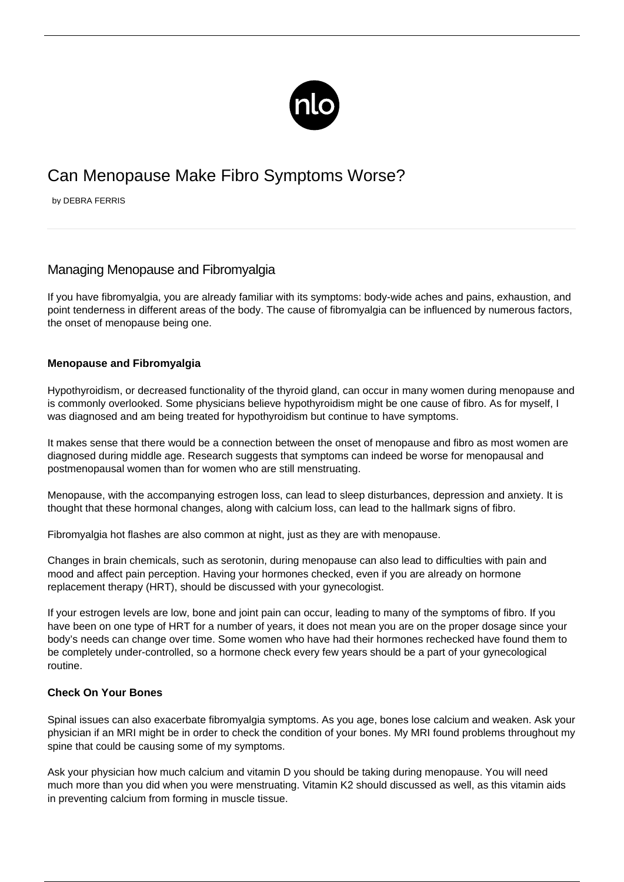

# Can Menopause Make Fibro Symptoms Worse?

by DEBRA FERRIS

# Managing Menopause and Fibromyalgia

If you have fibromyalgia, you are already familiar with its [symptoms](/symptoms-of-fibromyalgia/): body-wide aches and pains, exhaustion, and point tenderness in different areas of the body. The cause of fibromyalgia can be influenced by numerous factors, the onset of menopause being one.

## **Menopause and Fibromyalgia**

Hypothyroidism, or decreased functionality of the thyroid gland, can occur in many women during menopause and is commonly overlooked. Some physicians believe hypothyroidism might be one cause of fibro. As for myself, I was diagnosed and am being treated for hypothyroidism but continue to have symptoms.

It makes sense that there would be a connection between the onset of menopause and fibro as most women are diagnosed during middle age. Research suggests that symptoms can indeed be worse for menopausal and postmenopausal women than for women who are still menstruating.

Menopause, with the accompanying estrogen loss, can lead to sleep disturbances, depression and anxiety. It is thought that these hormonal changes, along with calcium loss, can lead to the hallmark signs of fibro.

[Fibromyalgia hot flashes](/fibromyalgia-night-sweats-hot-flashes/) are also common at night, just as they are with menopause.

Changes in brain chemicals, such as serotonin, during menopause can also lead to difficulties with pain and mood and affect pain perception. Having your hormones checked, even if you are already on hormone replacement therapy (HRT), should be discussed with your gynecologist.

If your estrogen levels are low, bone and joint pain can occur, leading to many of the symptoms of fibro. If you have been on one type of HRT for a number of years, it does not mean you are on the proper dosage since your body's needs can change over time. Some women who have had their hormones rechecked have found them to be completely under-controlled, so a hormone check every few years should be a part of your gynecological routine.

### **Check On Your Bones**

Spinal issues can also exacerbate fibromyalgia symptoms. As you age, bones lose calcium and weaken. Ask your physician if an MRI might be in order to check the condition of your bones. My MRI found problems throughout my spine that could be causing some of my symptoms.

Ask your physician how much calcium and vitamin D you should be taking during menopause. You will need much more than you did when you were menstruating. Vitamin K2 should discussed as well, as this vitamin aids in preventing calcium from forming in muscle tissue.